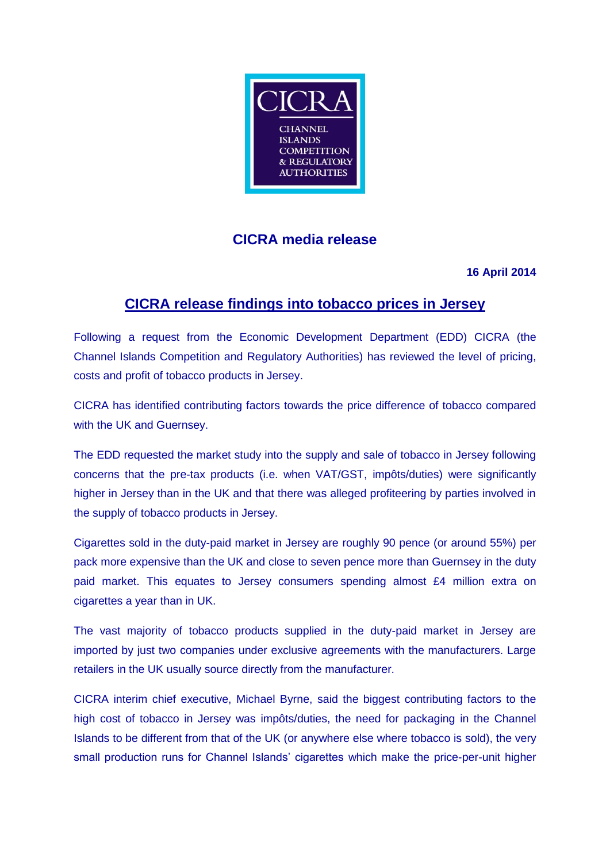

# **CICRA media release**

### **16 April 2014**

# **CICRA release findings into tobacco prices in Jersey**

Following a request from the Economic Development Department (EDD) CICRA (the Channel Islands Competition and Regulatory Authorities) has reviewed the level of pricing, costs and profit of tobacco products in Jersey.

CICRA has identified contributing factors towards the price difference of tobacco compared with the UK and Guernsey.

The EDD requested the market study into the supply and sale of tobacco in Jersey following concerns that the pre-tax products (i.e. when VAT/GST, impôts/duties) were significantly higher in Jersey than in the UK and that there was alleged profiteering by parties involved in the supply of tobacco products in Jersey.

Cigarettes sold in the duty-paid market in Jersey are roughly 90 pence (or around 55%) per pack more expensive than the UK and close to seven pence more than Guernsey in the duty paid market. This equates to Jersey consumers spending almost £4 million extra on cigarettes a year than in UK.

The vast majority of tobacco products supplied in the duty-paid market in Jersey are imported by just two companies under exclusive agreements with the manufacturers. Large retailers in the UK usually source directly from the manufacturer.

CICRA interim chief executive, Michael Byrne, said the biggest contributing factors to the high cost of tobacco in Jersey was impôts/duties, the need for packaging in the Channel Islands to be different from that of the UK (or anywhere else where tobacco is sold), the very small production runs for Channel Islands' cigarettes which make the price-per-unit higher